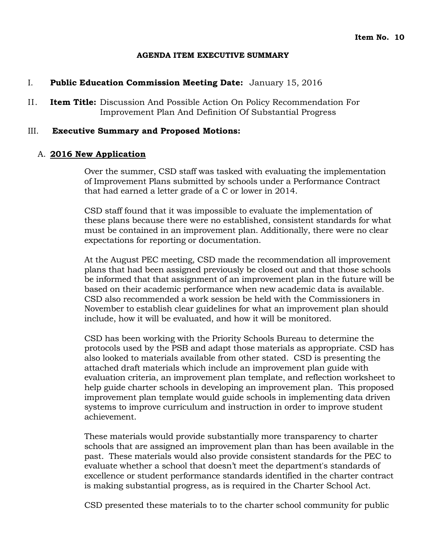## **AGENDA ITEM EXECUTIVE SUMMARY**

- I. **Public Education Commission Meeting Date:** January 15, 2016
- II. **Item Title:** Discussion And Possible Action On Policy Recommendation For Improvement Plan And Definition Of Substantial Progress

## III. **Executive Summary and Proposed Motions:**

## A. **2016 New Application**

Over the summer, CSD staff was tasked with evaluating the implementation of Improvement Plans submitted by schools under a Performance Contract that had earned a letter grade of a C or lower in 2014.

CSD staff found that it was impossible to evaluate the implementation of these plans because there were no established, consistent standards for what must be contained in an improvement plan. Additionally, there were no clear expectations for reporting or documentation.

At the August PEC meeting, CSD made the recommendation all improvement plans that had been assigned previously be closed out and that those schools be informed that that assignment of an improvement plan in the future will be based on their academic performance when new academic data is available. CSD also recommended a work session be held with the Commissioners in November to establish clear guidelines for what an improvement plan should include, how it will be evaluated, and how it will be monitored.

CSD has been working with the Priority Schools Bureau to determine the protocols used by the PSB and adapt those materials as appropriate. CSD has also looked to materials available from other stated. CSD is presenting the attached draft materials which include an improvement plan guide with evaluation criteria, an improvement plan template, and reflection worksheet to help guide charter schools in developing an improvement plan. This proposed improvement plan template would guide schools in implementing data driven systems to improve curriculum and instruction in order to improve student achievement.

These materials would provide substantially more transparency to charter schools that are assigned an improvement plan than has been available in the past. These materials would also provide consistent standards for the PEC to evaluate whether a school that doesn't meet the department's standards of excellence or student performance standards identified in the charter contract is making substantial progress, as is required in the Charter School Act.

CSD presented these materials to to the charter school community for public